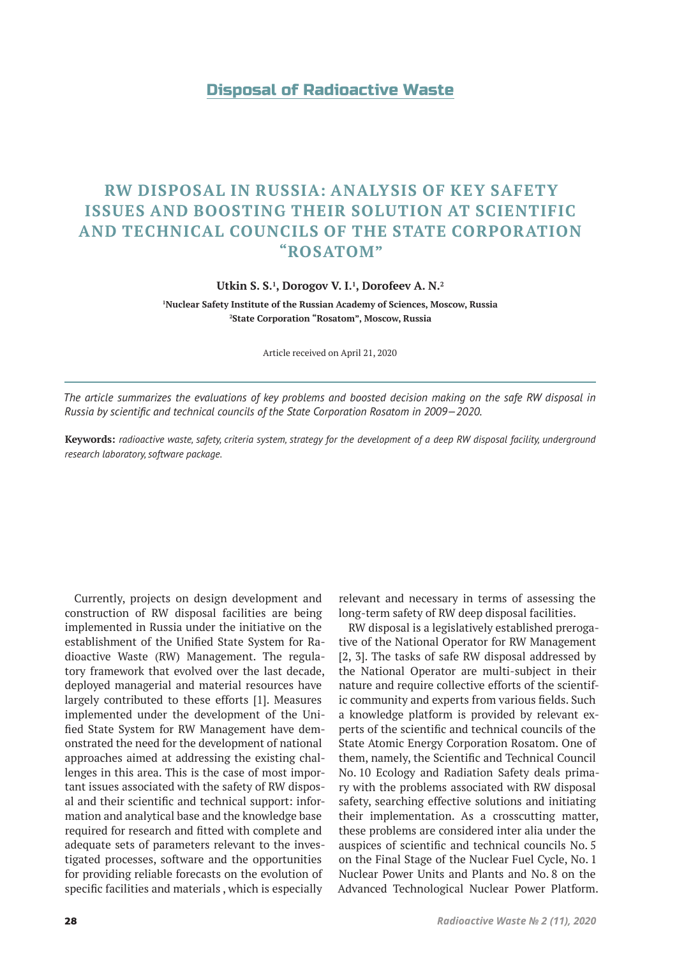# Disposal of Radioactive Waste

# **RW DISPOSAL IN RUSSIA: ANALYSIS OF KEY SAFETY ISSUES AND BOOSTING THEIR SOLUTION AT SCIENTIFIC AND TECHNICAL COUNCILS OF THE STATE CORPORATION "ROSATOM"**

#### **Utkin S. S.1 , Dorogov V. I.1 , Dorofeev A. N.2**

**1 Nuclear Safety Institute of the Russian Academy of Sciences, Moscow, Russia 2 State Corporation "Rosatom", Moscow, Russia**

Article received on April 21, 2020

*The article summarizes the evaluations of key problems and boosted decision making on the safe RW disposal in Russia by scientific and technical councils of the State Corporation Rosatom in 2009—2020.* 

**Keywords:** *radioactive waste, safety, criteria system, strategy for the development of a deep RW disposal facility, underground research laboratory, software package.*

Currently, projects on design development and construction of RW disposal facilities are being implemented in Russia under the initiative on the establishment of the Unified State System for Radioactive Waste (RW) Management. The regulatory framework that evolved over the last decade, deployed managerial and material resources have largely contributed to these efforts [1]. Measures implemented under the development of the Unified State System for RW Management have demonstrated the need for the development of national approaches aimed at addressing the existing challenges in this area. This is the case of most important issues associated with the safety of RW disposal and their scientific and technical support: information and analytical base and the knowledge base required for research and fitted with complete and adequate sets of parameters relevant to the investigated processes, software and the opportunities for providing reliable forecasts on the evolution of specific facilities and materials , which is especially

relevant and necessary in terms of assessing the long-term safety of RW deep disposal facilities.

RW disposal is a legislatively established prerogative of the National Operator for RW Management [2, 3]. The tasks of safe RW disposal addressed by the National Operator are multi-subject in their nature and require collective efforts of the scientific community and experts from various fields. Such a knowledge platform is provided by relevant experts of the scientific and technical councils of the State Atomic Energy Corporation Rosatom. One of them, namely, the Scientific and Technical Council No. 10 Ecology and Radiation Safety deals primary with the problems associated with RW disposal safety, searching effective solutions and initiating their implementation. As a crosscutting matter, these problems are considered inter alia under the auspices of scientific and technical councils No. 5 on the Final Stage of the Nuclear Fuel Cycle, No. 1 Nuclear Power Units and Plants and No. 8 on the Advanced Technological Nuclear Power Platform.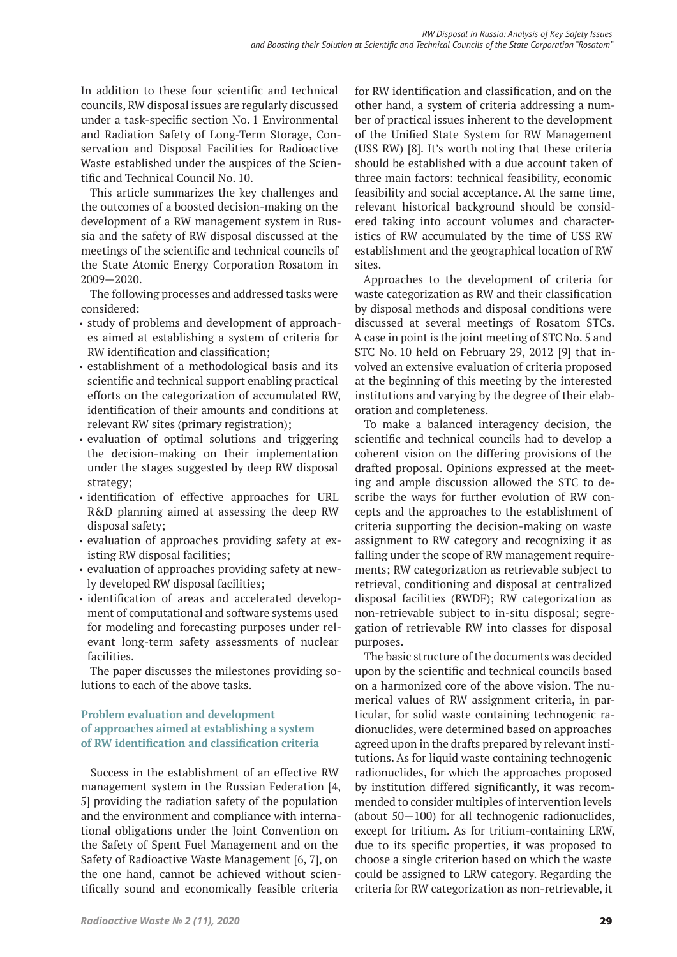In addition to these four scientific and technical councils, RW disposal issues are regularly discussed under a task-specific section No. 1 Environmental and Radiation Safety of Long-Term Storage, Conservation and Disposal Facilities for Radioactive Waste established under the auspices of the Scientific and Technical Council No. 10.

This article summarizes the key challenges and the outcomes of a boosted decision-making on the development of a RW management system in Russia and the safety of RW disposal discussed at the meetings of the scientific and technical councils of the State Atomic Energy Corporation Rosatom in 2009—2020.

The following processes and addressed tasks were considered:

- study of problems and development of approaches aimed at establishing a system of criteria for RW identification and classification;
- establishment of a methodological basis and its scientific and technical support enabling practical efforts on the categorization of accumulated RW, identification of their amounts and conditions at relevant RW sites (primary registration);
- evaluation of optimal solutions and triggering the decision-making on their implementation under the stages suggested by deep RW disposal strategy;
- identification of effective approaches for URL R&D planning aimed at assessing the deep RW disposal safety;
- evaluation of approaches providing safety at existing RW disposal facilities;
- evaluation of approaches providing safety at newly developed RW disposal facilities;
- identification of areas and accelerated development of computational and software systems used for modeling and forecasting purposes under relevant long-term safety assessments of nuclear facilities.

The paper discusses the milestones providing solutions to each of the above tasks.

# **Problem evaluation and development of approaches aimed at establishing a system of RW identification and classification criteria**

Success in the establishment of an effective RW management system in the Russian Federation [4, 5] providing the radiation safety of the population and the environment and compliance with international obligations under the Joint Convention on the Safety of Spent Fuel Management and on the Safety of Radioactive Waste Management [6, 7], on the one hand, cannot be achieved without scientifically sound and economically feasible criteria

for RW identification and classification, and on the other hand, a system of criteria addressing a number of practical issues inherent to the development of the Unified State System for RW Management (USS RW) [8]. It's worth noting that these criteria should be established with a due account taken of three main factors: technical feasibility, economic feasibility and social acceptance. At the same time, relevant historical background should be considered taking into account volumes and characteristics of RW accumulated by the time of USS RW establishment and the geographical location of RW sites.

Approaches to the development of criteria for waste categorization as RW and their classification by disposal methods and disposal conditions were discussed at several meetings of Rosatom STCs. A case in point is the joint meeting of STC No. 5 and STC No. 10 held on February 29, 2012 [9] that involved an extensive evaluation of criteria proposed at the beginning of this meeting by the interested institutions and varying by the degree of their elaboration and completeness.

To make a balanced interagency decision, the scientific and technical councils had to develop a coherent vision on the differing provisions of the drafted proposal. Opinions expressed at the meeting and ample discussion allowed the STC to describe the ways for further evolution of RW concepts and the approaches to the establishment of criteria supporting the decision-making on waste assignment to RW category and recognizing it as falling under the scope of RW management requirements; RW categorization as retrievable subject to retrieval, conditioning and disposal at centralized disposal facilities (RWDF); RW categorization as non-retrievable subject to in-situ disposal; segregation of retrievable RW into classes for disposal purposes.

The basic structure of the documents was decided upon by the scientific and technical councils based on a harmonized core of the above vision. The numerical values of RW assignment criteria, in particular, for solid waste containing technogenic radionuclides, were determined based on approaches agreed upon in the drafts prepared by relevant institutions. As for liquid waste containing technogenic radionuclides, for which the approaches proposed by institution differed significantly, it was recommended to consider multiples of intervention levels (about 50—100) for all technogenic radionuclides, except for tritium. As for tritium-containing LRW, due to its specific properties, it was proposed to choose a single criterion based on which the waste could be assigned to LRW category. Regarding the criteria for RW categorization as non-retrievable, it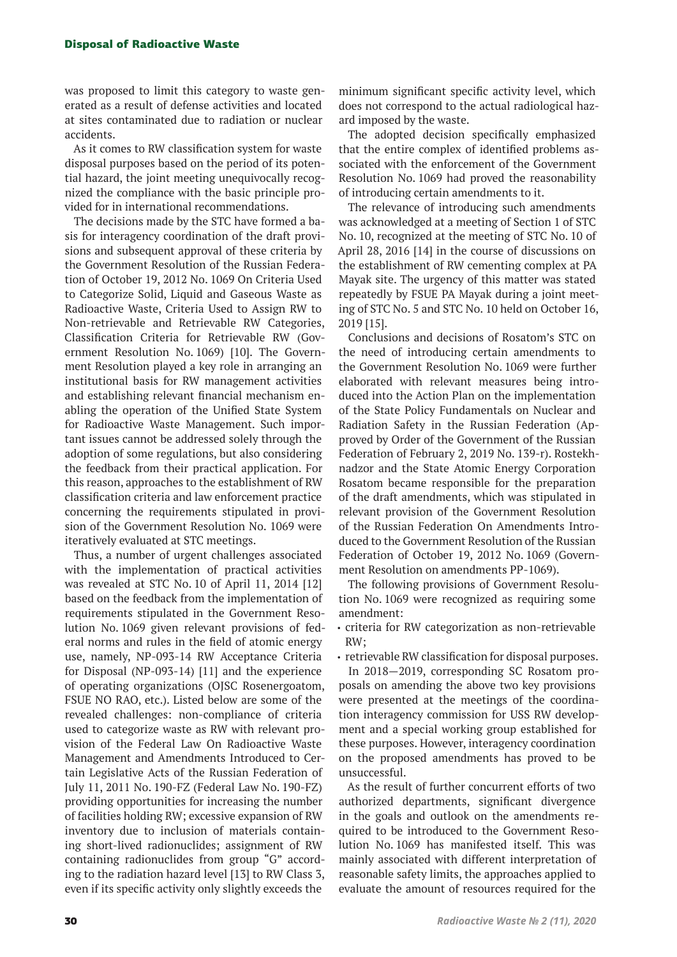was proposed to limit this category to waste generated as a result of defense activities and located at sites contaminated due to radiation or nuclear accidents.

As it comes to RW classification system for waste disposal purposes based on the period of its potential hazard, the joint meeting unequivocally recognized the compliance with the basic principle provided for in international recommendations.

The decisions made by the STC have formed a basis for interagency coordination of the draft provisions and subsequent approval of these criteria by the Government Resolution of the Russian Federation of October 19, 2012 No. 1069 On Criteria Used to Categorize Solid, Liquid and Gaseous Waste as Radioactive Waste, Criteria Used to Assign RW to Non-retrievable and Retrievable RW Categories, Classification Criteria for Retrievable RW (Government Resolution No. 1069) [10]. The Government Resolution played a key role in arranging an institutional basis for RW management activities and establishing relevant financial mechanism enabling the operation of the Unified State System for Radioactive Waste Management. Such important issues cannot be addressed solely through the adoption of some regulations, but also considering the feedback from their practical application. For this reason, approaches to the establishment of RW classification criteria and law enforcement practice concerning the requirements stipulated in provision of the Government Resolution No. 1069 were iteratively evaluated at STC meetings.

Thus, a number of urgent challenges associated with the implementation of practical activities was revealed at STC No. 10 of April 11, 2014 [12] based on the feedback from the implementation of requirements stipulated in the Government Resolution No. 1069 given relevant provisions of federal norms and rules in the field of atomic energy use, namely, NP-093-14 RW Acceptance Criteria for Disposal (NP-093-14) [11] and the experience of operating organizations (OJSC Rosenergoatom, FSUE NO RAO, etc.). Listed below are some of the revealed challenges: non-compliance of criteria used to categorize waste as RW with relevant provision of the Federal Law On Radioactive Waste Management and Amendments Introduced to Certain Legislative Acts of the Russian Federation of July 11, 2011 No. 190-FZ (Federal Law No. 190-FZ) providing opportunities for increasing the number of facilities holding RW; excessive expansion of RW inventory due to inclusion of materials containing short-lived radionuclides; assignment of RW containing radionuclides from group "G" according to the radiation hazard level [13] to RW Class 3, even if its specific activity only slightly exceeds the

minimum significant specific activity level, which does not correspond to the actual radiological hazard imposed by the waste.

The adopted decision specifically emphasized that the entire complex of identified problems associated with the enforcement of the Government Resolution No. 1069 had proved the reasonability of introducing certain amendments to it.

The relevance of introducing such amendments was acknowledged at a meeting of Section 1 of STC No. 10, recognized at the meeting of STC No. 10 of April 28, 2016 [14] in the course of discussions on the establishment of RW cementing complex at PA Mayak site. The urgency of this matter was stated repeatedly by FSUE PA Mayak during a joint meeting of STC No. 5 and STC No. 10 held on October 16, 2019 [15].

Conclusions and decisions of Rosatom's STC on the need of introducing certain amendments to the Government Resolution No. 1069 were further elaborated with relevant measures being introduced into the Action Plan on the implementation of the State Policy Fundamentals on Nuclear and Radiation Safety in the Russian Federation (Approved by Order of the Government of the Russian Federation of February 2, 2019 No. 139-r). Rostekhnadzor and the State Atomic Energy Corporation Rosatom became responsible for the preparation of the draft amendments, which was stipulated in relevant provision of the Government Resolution of the Russian Federation On Amendments Introduced to the Government Resolution of the Russian Federation of October 19, 2012 No. 1069 (Government Resolution on amendments PP-1069).

The following provisions of Government Resolution No. 1069 were recognized as requiring some amendment:

• criteria for RW categorization as non-retrievable RW;

• retrievable RW classification for disposal purposes.

In 2018—2019, corresponding SC Rosatom proposals on amending the above two key provisions were presented at the meetings of the coordination interagency commission for USS RW development and a special working group established for these purposes. However, interagency coordination on the proposed amendments has proved to be unsuccessful.

As the result of further concurrent efforts of two authorized departments, significant divergence in the goals and outlook on the amendments required to be introduced to the Government Resolution No. 1069 has manifested itself. This was mainly associated with different interpretation of reasonable safety limits, the approaches applied to evaluate the amount of resources required for the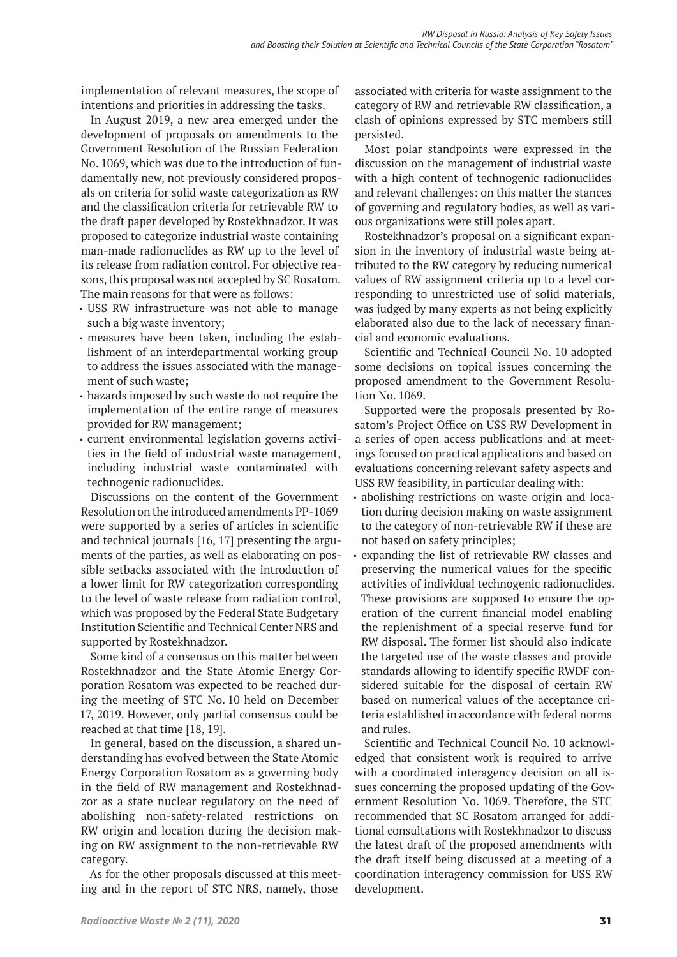implementation of relevant measures, the scope of intentions and priorities in addressing the tasks.

In August 2019, a new area emerged under the development of proposals on amendments to the Government Resolution of the Russian Federation No. 1069, which was due to the introduction of fundamentally new, not previously considered proposals on criteria for solid waste categorization as RW and the classification criteria for retrievable RW to the draft paper developed by Rostekhnadzor. It was proposed to categorize industrial waste containing man-made radionuclides as RW up to the level of its release from radiation control. For objective reasons, this proposal was not accepted by SC Rosatom. The main reasons for that were as follows:

- USS RW infrastructure was not able to manage such a big waste inventory;
- measures have been taken, including the establishment of an interdepartmental working group to address the issues associated with the management of such waste;
- hazards imposed by such waste do not require the implementation of the entire range of measures provided for RW management;
- current environmental legislation governs activities in the field of industrial waste management, including industrial waste contaminated with technogenic radionuclides.

Discussions on the content of the Government Resolution on the introduced amendments PP-1069 were supported by a series of articles in scientific and technical journals [16, 17] presenting the arguments of the parties, as well as elaborating on possible setbacks associated with the introduction of a lower limit for RW categorization corresponding to the level of waste release from radiation control, which was proposed by the Federal State Budgetary Institution Scientific and Technical Center NRS and supported by Rostekhnadzor.

Some kind of a consensus on this matter between Rostekhnadzor and the State Atomic Energy Corporation Rosatom was expected to be reached during the meeting of STC No. 10 held on December 17, 2019. However, only partial consensus could be reached at that time [18, 19].

In general, based on the discussion, a shared understanding has evolved between the State Atomic Energy Corporation Rosatom as a governing body in the field of RW management and Rostekhnadzor as a state nuclear regulatory on the need of abolishing non-safety-related restrictions on RW origin and location during the decision making on RW assignment to the non-retrievable RW category.

As for the other proposals discussed at this meeting and in the report of STC NRS, namely, those

associated with criteria for waste assignment to the category of RW and retrievable RW classification, a clash of opinions expressed by STC members still persisted.

Most polar standpoints were expressed in the discussion on the management of industrial waste with a high content of technogenic radionuclides and relevant challenges: on this matter the stances of governing and regulatory bodies, as well as various organizations were still poles apart.

Rostekhnadzor's proposal on a significant expansion in the inventory of industrial waste being attributed to the RW category by reducing numerical values of RW assignment criteria up to a level corresponding to unrestricted use of solid materials, was judged by many experts as not being explicitly elaborated also due to the lack of necessary financial and economic evaluations.

Scientific and Technical Council No. 10 adopted some decisions on topical issues concerning the proposed amendment to the Government Resolution No. 1069.

Supported were the proposals presented by Rosatom's Project Office on USS RW Development in a series of open access publications and at meetings focused on practical applications and based on evaluations concerning relevant safety aspects and USS RW feasibility, in particular dealing with:

- abolishing restrictions on waste origin and location during decision making on waste assignment to the category of non-retrievable RW if these are not based on safety principles;
- expanding the list of retrievable RW classes and preserving the numerical values for the specific activities of individual technogenic radionuclides. These provisions are supposed to ensure the operation of the current financial model enabling the replenishment of a special reserve fund for RW disposal. The former list should also indicate the targeted use of the waste classes and provide standards allowing to identify specific RWDF considered suitable for the disposal of certain RW based on numerical values of the acceptance criteria established in accordance with federal norms and rules.

Scientific and Technical Council No. 10 acknowledged that consistent work is required to arrive with a coordinated interagency decision on all issues concerning the proposed updating of the Government Resolution No. 1069. Therefore, the STC recommended that SC Rosatom arranged for additional consultations with Rostekhnadzor to discuss the latest draft of the proposed amendments with the draft itself being discussed at a meeting of a coordination interagency commission for USS RW development.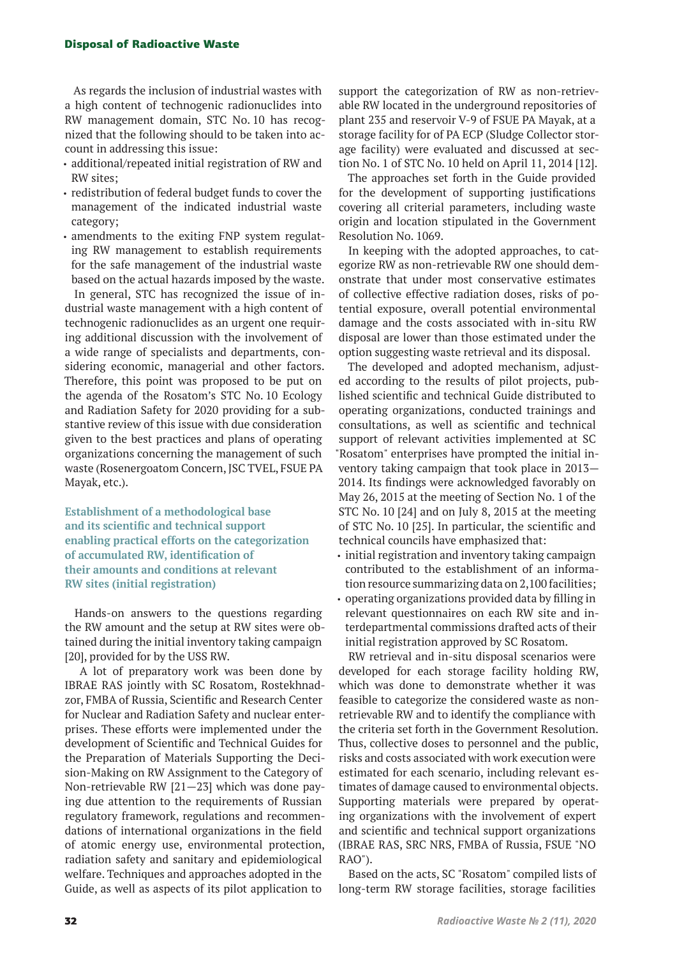#### Disposal of Radioactive Waste

As regards the inclusion of industrial wastes with a high content of technogenic radionuclides into RW management domain, STC No. 10 has recognized that the following should to be taken into account in addressing this issue:

- additional/repeated initial registration of RW and RW sites;
- redistribution of federal budget funds to cover the management of the indicated industrial waste category;
- amendments to the exiting FNP system regulating RW management to establish requirements for the safe management of the industrial waste based on the actual hazards imposed by the waste. In general, STC has recognized the issue of industrial waste management with a high content of technogenic radionuclides as an urgent one requiring additional discussion with the involvement of a wide range of specialists and departments, considering economic, managerial and other factors. Therefore, this point was proposed to be put on the agenda of the Rosatom's STC No. 10 Ecology and Radiation Safety for 2020 providing for a substantive review of this issue with due consideration given to the best practices and plans of operating organizations concerning the management of such waste (Rosenergoatom Concern, JSC TVEL, FSUE PA Mayak, etc.).

**Establishment of a methodological base and its scientific and technical support enabling practical efforts on the categorization of accumulated RW, identification of their amounts and conditions at relevant RW sites (initial registration)**

Hands-on answers to the questions regarding the RW amount and the setup at RW sites were obtained during the initial inventory taking campaign [20], provided for by the USS RW.

 A lot of preparatory work was been done by IBRAE RAS jointly with SC Rosatom, Rostekhnadzor, FMBA of Russia, Scientific and Research Center for Nuclear and Radiation Safety and nuclear enterprises. These efforts were implemented under the development of Scientific and Technical Guides for the Preparation of Materials Supporting the Decision-Making on RW Assignment to the Category of Non-retrievable RW [21—23] which was done paying due attention to the requirements of Russian regulatory framework, regulations and recommendations of international organizations in the field of atomic energy use, environmental protection, radiation safety and sanitary and epidemiological welfare. Techniques and approaches adopted in the Guide, as well as aspects of its pilot application to

support the categorization of RW as non-retrievable RW located in the underground repositories of plant 235 and reservoir V-9 of FSUE PA Mayak, at a storage facility for of PA ECP (Sludge Collector storage facility) were evaluated and discussed at section No. 1 of STC No. 10 held on April 11, 2014 [12].

The approaches set forth in the Guide provided for the development of supporting justifications covering all criterial parameters, including waste origin and location stipulated in the Government Resolution No. 1069.

In keeping with the adopted approaches, to categorize RW as non-retrievable RW one should demonstrate that under most conservative estimates of collective effective radiation doses, risks of potential exposure, overall potential environmental damage and the costs associated with in-situ RW disposal are lower than those estimated under the option suggesting waste retrieval and its disposal.

The developed and adopted mechanism, adjusted according to the results of pilot projects, published scientific and technical Guide distributed to operating organizations, conducted trainings and consultations, as well as scientific and technical support of relevant activities implemented at SC "Rosatom" enterprises have prompted the initial inventory taking campaign that took place in 2013— 2014. Its findings were acknowledged favorably on May 26, 2015 at the meeting of Section No. 1 of the STC No. 10 [24] and on July 8, 2015 at the meeting of STC No. 10 [25]. In particular, the scientific and technical councils have emphasized that:

• initial registration and inventory taking campaign contributed to the establishment of an information resource summarizing data on 2,100 facilities;

• operating organizations provided data by filling in relevant questionnaires on each RW site and interdepartmental commissions drafted acts of their initial registration approved by SC Rosatom.

RW retrieval and in-situ disposal scenarios were developed for each storage facility holding RW, which was done to demonstrate whether it was feasible to categorize the considered waste as nonretrievable RW and to identify the compliance with the criteria set forth in the Government Resolution. Thus, collective doses to personnel and the public, risks and costs associated with work execution were estimated for each scenario, including relevant estimates of damage caused to environmental objects. Supporting materials were prepared by operating organizations with the involvement of expert and scientific and technical support organizations (IBRAE RAS, SRC NRS, FMBA of Russia, FSUE "NO RAO").

Based on the acts, SC "Rosatom" compiled lists of long-term RW storage facilities, storage facilities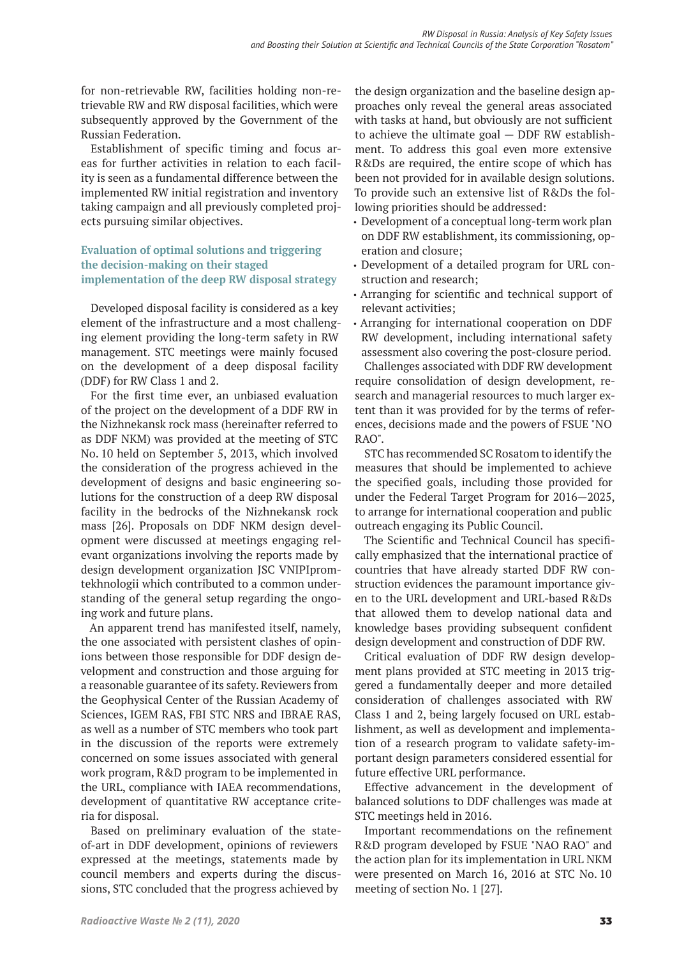for non-retrievable RW, facilities holding non-retrievable RW and RW disposal facilities, which were subsequently approved by the Government of the Russian Federation.

Establishment of specific timing and focus areas for further activities in relation to each facility is seen as a fundamental difference between the implemented RW initial registration and inventory taking campaign and all previously completed projects pursuing similar objectives.

## **Evaluation of optimal solutions and triggering the decision-making on their staged implementation of the deep RW disposal strategy**

Developed disposal facility is considered as a key element of the infrastructure and a most challenging element providing the long-term safety in RW management. STC meetings were mainly focused on the development of a deep disposal facility (DDF) for RW Class 1 and 2.

For the first time ever, an unbiased evaluation of the project on the development of a DDF RW in the Nizhnekansk rock mass (hereinafter referred to as DDF NKM) was provided at the meeting of STC No. 10 held on September 5, 2013, which involved the consideration of the progress achieved in the development of designs and basic engineering solutions for the construction of a deep RW disposal facility in the bedrocks of the Nizhnekansk rock mass [26]. Proposals on DDF NKM design development were discussed at meetings engaging relevant organizations involving the reports made by design development organization JSC VNIPIpromtekhnologii which contributed to a common understanding of the general setup regarding the ongoing work and future plans.

An apparent trend has manifested itself, namely, the one associated with persistent clashes of opinions between those responsible for DDF design development and construction and those arguing for a reasonable guarantee of its safety. Reviewers from the Geophysical Center of the Russian Academy of Sciences, IGEM RAS, FBI STC NRS and IBRAE RAS, as well as a number of STC members who took part in the discussion of the reports were extremely concerned on some issues associated with general work program, R&D program to be implemented in the URL, compliance with IAEA recommendations, development of quantitative RW acceptance criteria for disposal.

Based on preliminary evaluation of the stateof-art in DDF development, opinions of reviewers expressed at the meetings, statements made by council members and experts during the discussions, STC concluded that the progress achieved by

the design organization and the baseline design approaches only reveal the general areas associated with tasks at hand, but obviously are not sufficient to achieve the ultimate goal — DDF RW establishment. To address this goal even more extensive R&Ds are required, the entire scope of which has been not provided for in available design solutions. To provide such an extensive list of R&Ds the following priorities should be addressed:

- Development of a conceptual long-term work plan on DDF RW establishment, its commissioning, operation and closure;
- Development of a detailed program for URL construction and research;
- Arranging for scientific and technical support of relevant activities;
- Arranging for international cooperation on DDF RW development, including international safety assessment also covering the post-closure period.

Challenges associated with DDF RW development require consolidation of design development, research and managerial resources to much larger extent than it was provided for by the terms of references, decisions made and the powers of FSUE "NO RAO".

STC has recommended SC Rosatom to identify the measures that should be implemented to achieve the specified goals, including those provided for under the Federal Target Program for 2016—2025, to arrange for international cooperation and public outreach engaging its Public Council.

The Scientific and Technical Council has specifically emphasized that the international practice of countries that have already started DDF RW construction evidences the paramount importance given to the URL development and URL-based R&Ds that allowed them to develop national data and knowledge bases providing subsequent confident design development and construction of DDF RW.

Critical evaluation of DDF RW design development plans provided at STC meeting in 2013 triggered a fundamentally deeper and more detailed consideration of challenges associated with RW Class 1 and 2, being largely focused on URL establishment, as well as development and implementation of a research program to validate safety-important design parameters considered essential for future effective URL performance.

Effective advancement in the development of balanced solutions to DDF challenges was made at STC meetings held in 2016.

Important recommendations on the refinement R&D program developed by FSUE "NAO RAO" and the action plan for its implementation in URL NKM were presented on March 16, 2016 at STC No. 10 meeting of section No. 1 [27].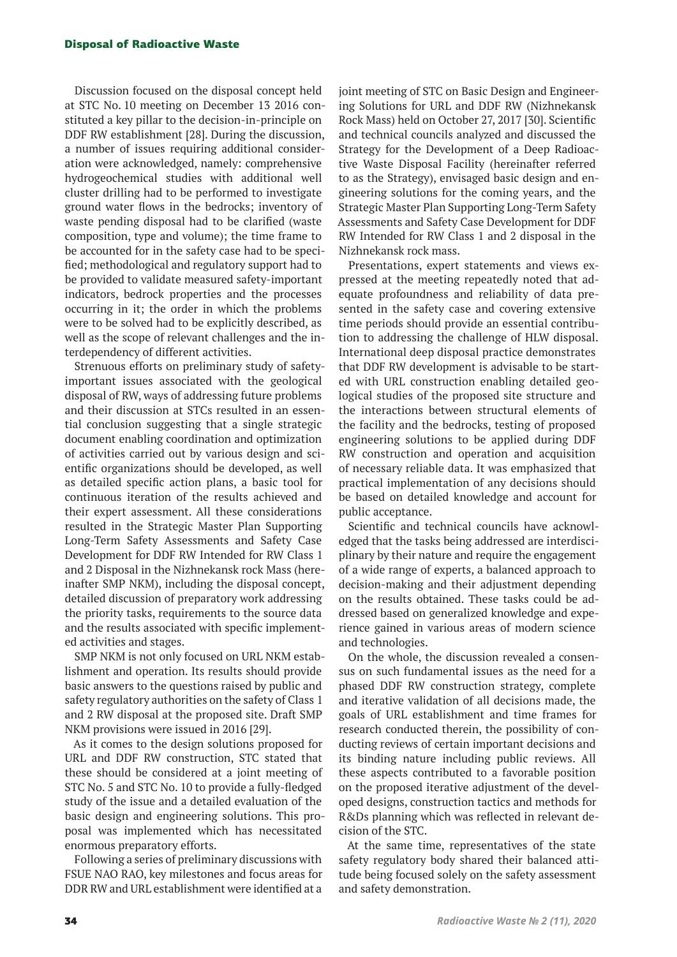#### Disposal of Radioactive Waste

Discussion focused on the disposal concept held at STC No. 10 meeting on December 13 2016 constituted a key pillar to the decision-in-principle on DDF RW establishment [28]. During the discussion, a number of issues requiring additional consideration were acknowledged, namely: comprehensive hydrogeochemical studies with additional well cluster drilling had to be performed to investigate ground water flows in the bedrocks; inventory of waste pending disposal had to be clarified (waste composition, type and volume); the time frame to be accounted for in the safety case had to be specified; methodological and regulatory support had to be provided to validate measured safety-important indicators, bedrock properties and the processes occurring in it; the order in which the problems were to be solved had to be explicitly described, as well as the scope of relevant challenges and the interdependency of different activities.

Strenuous efforts on preliminary study of safetyimportant issues associated with the geological disposal of RW, ways of addressing future problems and their discussion at STCs resulted in an essential conclusion suggesting that a single strategic document enabling coordination and optimization of activities carried out by various design and scientific organizations should be developed, as well as detailed specific action plans, a basic tool for continuous iteration of the results achieved and their expert assessment. All these considerations resulted in the Strategic Master Plan Supporting Long-Term Safety Assessments and Safety Case Development for DDF RW Intended for RW Class 1 and 2 Disposal in the Nizhnekansk rock Mass (hereinafter SMP NKM), including the disposal concept, detailed discussion of preparatory work addressing the priority tasks, requirements to the source data and the results associated with specific implemented activities and stages.

SMP NKM is not only focused on URL NKM establishment and operation. Its results should provide basic answers to the questions raised by public and safety regulatory authorities on the safety of Class 1 and 2 RW disposal at the proposed site. Draft SMP NKM provisions were issued in 2016 [29].

As it comes to the design solutions proposed for URL and DDF RW construction, STC stated that these should be considered at a joint meeting of STC No. 5 and STC No. 10 to provide a fully-fledged study of the issue and a detailed evaluation of the basic design and engineering solutions. This proposal was implemented which has necessitated enormous preparatory efforts.

Following a series of preliminary discussions with FSUE NAO RAO, key milestones and focus areas for DDR RW and URL establishment were identified at a

joint meeting of STC on Basic Design and Engineering Solutions for URL and DDF RW (Nizhnekansk Rock Mass) held on October 27, 2017 [30]. Scientific and technical councils analyzed and discussed the Strategy for the Development of a Deep Radioactive Waste Disposal Facility (hereinafter referred to as the Strategy), envisaged basic design and engineering solutions for the coming years, and the Strategic Master Plan Supporting Long-Term Safety Assessments and Safety Case Development for DDF RW Intended for RW Class 1 and 2 disposal in the Nizhnekansk rock mass.

Presentations, expert statements and views expressed at the meeting repeatedly noted that adequate profoundness and reliability of data presented in the safety case and covering extensive time periods should provide an essential contribution to addressing the challenge of HLW disposal. International deep disposal practice demonstrates that DDF RW development is advisable to be started with URL construction enabling detailed geological studies of the proposed site structure and the interactions between structural elements of the facility and the bedrocks, testing of proposed engineering solutions to be applied during DDF RW construction and operation and acquisition of necessary reliable data. It was emphasized that practical implementation of any decisions should be based on detailed knowledge and account for public acceptance.

Scientific and technical councils have acknowledged that the tasks being addressed are interdisciplinary by their nature and require the engagement of a wide range of experts, a balanced approach to decision-making and their adjustment depending on the results obtained. These tasks could be addressed based on generalized knowledge and experience gained in various areas of modern science and technologies.

On the whole, the discussion revealed a consensus on such fundamental issues as the need for a phased DDF RW construction strategy, complete and iterative validation of all decisions made, the goals of URL establishment and time frames for research conducted therein, the possibility of conducting reviews of certain important decisions and its binding nature including public reviews. All these aspects contributed to a favorable position on the proposed iterative adjustment of the developed designs, construction tactics and methods for R&Ds planning which was reflected in relevant decision of the STC.

At the same time, representatives of the state safety regulatory body shared their balanced attitude being focused solely on the safety assessment and safety demonstration.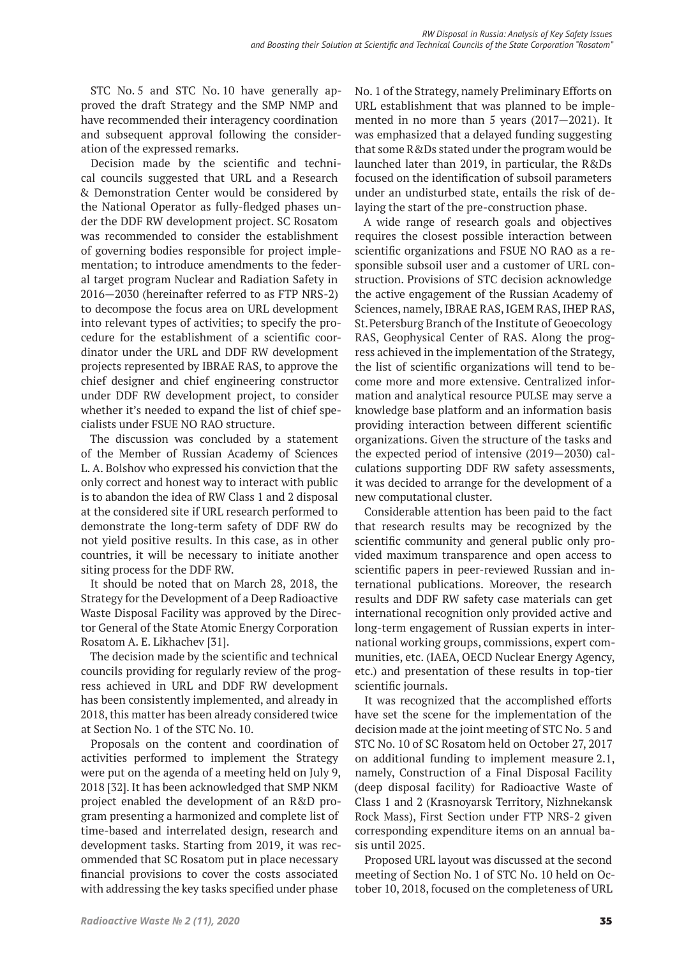STC No. 5 and STC No. 10 have generally approved the draft Strategy and the SMP NMP and have recommended their interagency coordination and subsequent approval following the consideration of the expressed remarks.

Decision made by the scientific and technical councils suggested that URL and a Research & Demonstration Center would be considered by the National Operator as fully-fledged phases under the DDF RW development project. SC Rosatom was recommended to consider the establishment of governing bodies responsible for project implementation; to introduce amendments to the federal target program Nuclear and Radiation Safety in 2016—2030 (hereinafter referred to as FTP NRS-2) to decompose the focus area on URL development into relevant types of activities; to specify the procedure for the establishment of a scientific coordinator under the URL and DDF RW development projects represented by IBRAE RAS, to approve the chief designer and chief engineering constructor under DDF RW development project, to consider whether it's needed to expand the list of chief specialists under FSUE NO RAO structure.

The discussion was concluded by a statement of the Member of Russian Academy of Sciences L. A. Bolshov who expressed his conviction that the only correct and honest way to interact with public is to abandon the idea of RW Class 1 and 2 disposal at the considered site if URL research performed to demonstrate the long-term safety of DDF RW do not yield positive results. In this case, as in other countries, it will be necessary to initiate another siting process for the DDF RW.

It should be noted that on March 28, 2018, the Strategy for the Development of a Deep Radioactive Waste Disposal Facility was approved by the Director General of the State Atomic Energy Corporation Rosatom A. E. Likhachev [31].

The decision made by the scientific and technical councils providing for regularly review of the progress achieved in URL and DDF RW development has been consistently implemented, and already in 2018, this matter has been already considered twice at Section No. 1 of the STC No. 10.

Proposals on the content and coordination of activities performed to implement the Strategy were put on the agenda of a meeting held on July 9, 2018 [32]. It has been acknowledged that SMP NKM project enabled the development of an R&D program presenting a harmonized and complete list of time-based and interrelated design, research and development tasks. Starting from 2019, it was recommended that SC Rosatom put in place necessary financial provisions to cover the costs associated with addressing the key tasks specified under phase

No. 1 of the Strategy, namely Preliminary Efforts on URL establishment that was planned to be implemented in no more than 5 years (2017—2021). It was emphasized that a delayed funding suggesting that some R&Ds stated under the program would be launched later than 2019, in particular, the R&Ds focused on the identification of subsoil parameters under an undisturbed state, entails the risk of delaying the start of the pre-construction phase.

A wide range of research goals and objectives requires the closest possible interaction between scientific organizations and FSUE NO RAO as a responsible subsoil user and a customer of URL construction. Provisions of STC decision acknowledge the active engagement of the Russian Academy of Sciences, namely, IBRAE RAS, IGEM RAS, IHEP RAS, St. Petersburg Branch of the Institute of Geoecology RAS, Geophysical Center of RAS. Along the progress achieved in the implementation of the Strategy, the list of scientific organizations will tend to become more and more extensive. Centralized information and analytical resource PULSE may serve a knowledge base platform and an information basis providing interaction between different scientific organizations. Given the structure of the tasks and the expected period of intensive (2019—2030) calculations supporting DDF RW safety assessments, it was decided to arrange for the development of a new computational cluster.

Considerable attention has been paid to the fact that research results may be recognized by the scientific community and general public only provided maximum transparence and open access to scientific papers in peer-reviewed Russian and international publications. Moreover, the research results and DDF RW safety case materials can get international recognition only provided active and long-term engagement of Russian experts in international working groups, commissions, expert communities, etc. (IAEA, OECD Nuclear Energy Agency, etc.) and presentation of these results in top-tier scientific journals.

It was recognized that the accomplished efforts have set the scene for the implementation of the decision made at the joint meeting of STC No. 5 and STC No. 10 of SC Rosatom held on October 27, 2017 on additional funding to implement measure 2.1, namely, Construction of a Final Disposal Facility (deep disposal facility) for Radioactive Waste of Class 1 and 2 (Krasnoyarsk Territory, Nizhnekansk Rock Mass), First Section under FTP NRS-2 given corresponding expenditure items on an annual basis until 2025.

Proposed URL layout was discussed at the second meeting of Section No. 1 of STC No. 10 held on October 10, 2018, focused on the completeness of URL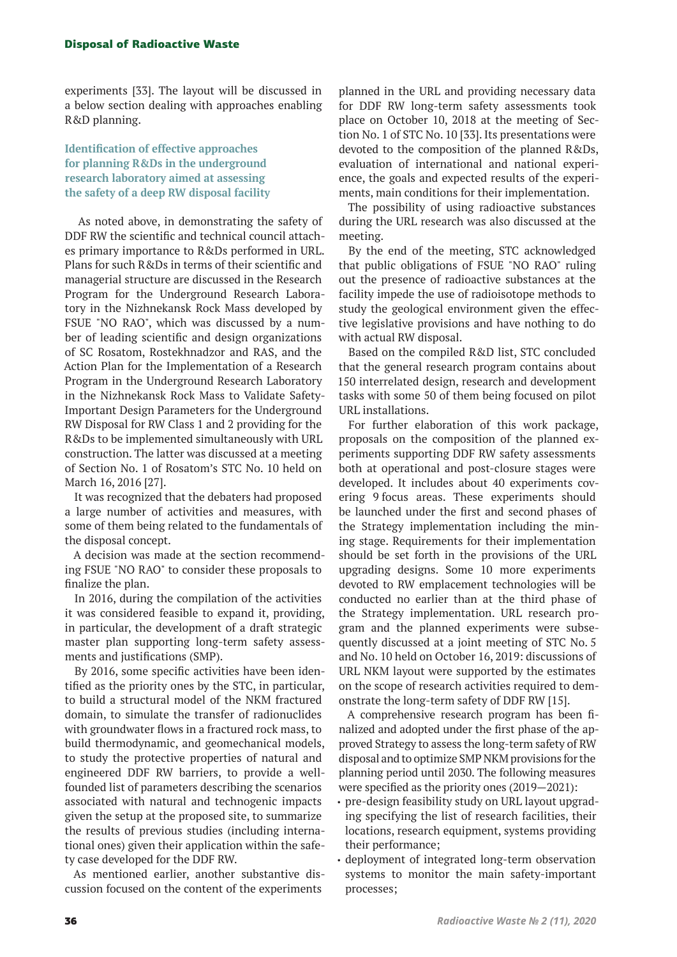experiments [33]. The layout will be discussed in a below section dealing with approaches enabling R&D planning.

## **Identification of effective approaches for planning R&Ds in the underground research laboratory aimed at assessing the safety of a deep RW disposal facility**

 As noted above, in demonstrating the safety of DDF RW the scientific and technical council attaches primary importance to R&Ds performed in URL. Plans for such R&Ds in terms of their scientific and managerial structure are discussed in the Research Program for the Underground Research Laboratory in the Nizhnekansk Rock Mass developed by FSUE "NO RAO", which was discussed by a number of leading scientific and design organizations of SC Rosatom, Rostekhnadzor and RAS, and the Action Plan for the Implementation of a Research Program in the Underground Research Laboratory in the Nizhnekansk Rock Mass to Validate Safety-Important Design Parameters for the Underground RW Disposal for RW Class 1 and 2 providing for the R&Ds to be implemented simultaneously with URL construction. The latter was discussed at a meeting of Section No. 1 of Rosatom's STC No. 10 held on March 16, 2016 [27].

It was recognized that the debaters had proposed a large number of activities and measures, with some of them being related to the fundamentals of the disposal concept.

A decision was made at the section recommending FSUE "NO RAO" to consider these proposals to finalize the plan.

In 2016, during the compilation of the activities it was considered feasible to expand it, providing, in particular, the development of a draft strategic master plan supporting long-term safety assessments and justifications (SMP).

By 2016, some specific activities have been identified as the priority ones by the STC, in particular, to build a structural model of the NKM fractured domain, to simulate the transfer of radionuclides with groundwater flows in a fractured rock mass, to build thermodynamic, and geomechanical models, to study the protective properties of natural and engineered DDF RW barriers, to provide a wellfounded list of parameters describing the scenarios associated with natural and technogenic impacts given the setup at the proposed site, to summarize the results of previous studies (including international ones) given their application within the safety case developed for the DDF RW.

As mentioned earlier, another substantive discussion focused on the content of the experiments

planned in the URL and providing necessary data for DDF RW long-term safety assessments took place on October 10, 2018 at the meeting of Section No. 1 of STC No. 10 [33]. Its presentations were devoted to the composition of the planned R&Ds, evaluation of international and national experience, the goals and expected results of the experiments, main conditions for their implementation.

The possibility of using radioactive substances during the URL research was also discussed at the meeting.

By the end of the meeting, STC acknowledged that public obligations of FSUE "NO RAO" ruling out the presence of radioactive substances at the facility impede the use of radioisotope methods to study the geological environment given the effective legislative provisions and have nothing to do with actual RW disposal.

Based on the compiled R&D list, STC concluded that the general research program contains about 150 interrelated design, research and development tasks with some 50 of them being focused on pilot URL installations.

For further elaboration of this work package, proposals on the composition of the planned experiments supporting DDF RW safety assessments both at operational and post-closure stages were developed. It includes about 40 experiments covering 9 focus areas. These experiments should be launched under the first and second phases of the Strategy implementation including the mining stage. Requirements for their implementation should be set forth in the provisions of the URL upgrading designs. Some 10 more experiments devoted to RW emplacement technologies will be conducted no earlier than at the third phase of the Strategy implementation. URL research program and the planned experiments were subsequently discussed at a joint meeting of STC No. 5 and No. 10 held on October 16, 2019: discussions of URL NKM layout were supported by the estimates on the scope of research activities required to demonstrate the long-term safety of DDF RW [15].

A comprehensive research program has been finalized and adopted under the first phase of the approved Strategy to assess the long-term safety of RW disposal and to optimize SMP NKM provisions for the planning period until 2030. The following measures were specified as the priority ones (2019—2021):

- pre-design feasibility study on URL layout upgrading specifying the list of research facilities, their locations, research equipment, systems providing their performance;
- deployment of integrated long-term observation systems to monitor the main safety-important processes;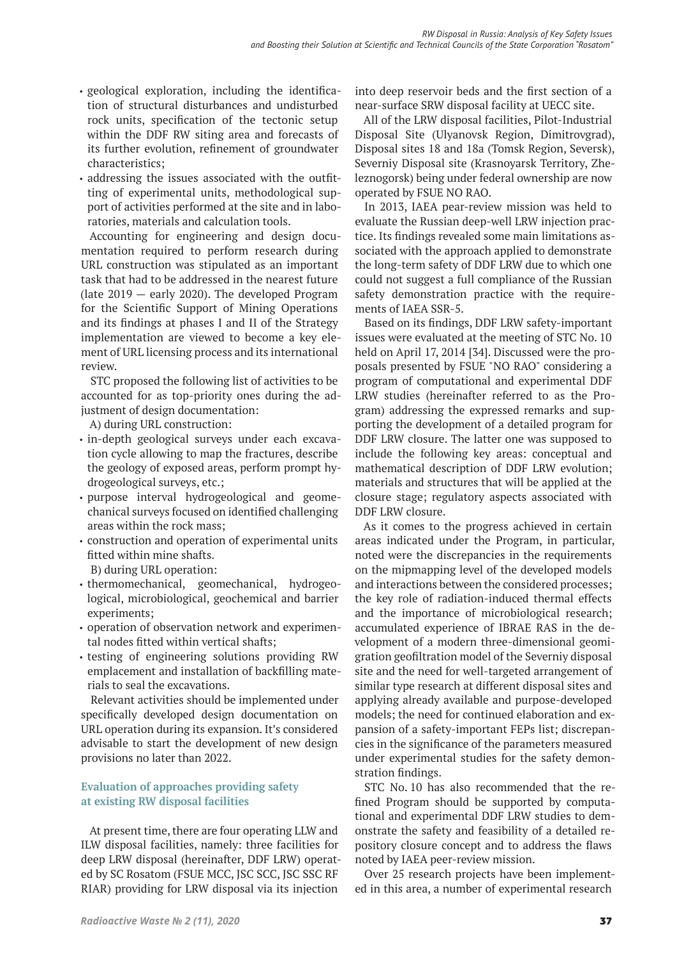- geological exploration, including the identification of structural disturbances and undisturbed rock units, specification of the tectonic setup within the DDF RW siting area and forecasts of its further evolution, refinement of groundwater characteristics;
- addressing the issues associated with the outfitting of experimental units, methodological support of activities performed at the site and in laboratories, materials and calculation tools.

Accounting for engineering and design documentation required to perform research during URL construction was stipulated as an important task that had to be addressed in the nearest future (late 2019 — early 2020). The developed Program for the Scientific Support of Mining Operations and its findings at phases I and II of the Strategy implementation are viewed to become a key element of URL licensing process and its international review.

STC proposed the following list of activities to be accounted for as top-priority ones during the adjustment of design documentation:

A) during URL construction:

- in-depth geological surveys under each excavation cycle allowing to map the fractures, describe the geology of exposed areas, perform prompt hydrogeological surveys, etc.;
- purpose interval hydrogeological and geomechanical surveys focused on identified challenging areas within the rock mass;
- construction and operation of experimental units fitted within mine shafts.
	- B) during URL operation:
- thermomechanical, geomechanical, hydrogeological, microbiological, geochemical and barrier experiments;
- operation of observation network and experimental nodes fitted within vertical shafts;
- testing of engineering solutions providing RW emplacement and installation of backfilling materials to seal the excavations.

Relevant activities should be implemented under specifically developed design documentation on URL operation during its expansion. It's considered advisable to start the development of new design provisions no later than 2022.

# **Evaluation of approaches providing safety at existing RW disposal facilities**

At present time, there are four operating LLW and ILW disposal facilities, namely: three facilities for deep LRW disposal (hereinafter, DDF LRW) operated by SC Rosatom (FSUE MCC, JSC SCC, JSC SSC RF RIAR) providing for LRW disposal via its injection

into deep reservoir beds and the first section of a near-surface SRW disposal facility at UECC site.

All of the LRW disposal facilities, Pilot-Industrial Disposal Site (Ulyanovsk Region, Dimitrovgrad), Disposal sites 18 and 18a (Tomsk Region, Seversk), Severniy Disposal site (Krasnoyarsk Territory, Zheleznogorsk) being under federal ownership are now operated by FSUE NO RAO.

In 2013, IAEA pear-review mission was held to evaluate the Russian deep-well LRW injection practice. Its findings revealed some main limitations associated with the approach applied to demonstrate the long-term safety of DDF LRW due to which one could not suggest a full compliance of the Russian safety demonstration practice with the requirements of IAEA SSR-5.

Based on its findings, DDF LRW safety-important issues were evaluated at the meeting of STC No. 10 held on April 17, 2014 [34]. Discussed were the proposals presented by FSUE "NO RAO" considering a program of computational and experimental DDF LRW studies (hereinafter referred to as the Program) addressing the expressed remarks and supporting the development of a detailed program for DDF LRW closure. The latter one was supposed to include the following key areas: conceptual and mathematical description of DDF LRW evolution; materials and structures that will be applied at the closure stage; regulatory aspects associated with DDF LRW closure.

As it comes to the progress achieved in certain areas indicated under the Program, in particular, noted were the discrepancies in the requirements on the mipmapping level of the developed models and interactions between the considered processes; the key role of radiation-induced thermal effects and the importance of microbiological research; accumulated experience of IBRAE RAS in the development of a modern three-dimensional geomigration geofiltration model of the Severniy disposal site and the need for well-targeted arrangement of similar type research at different disposal sites and applying already available and purpose-developed models; the need for continued elaboration and expansion of a safety-important FEPs list; discrepancies in the significance of the parameters measured under experimental studies for the safety demonstration findings.

STC No. 10 has also recommended that the refined Program should be supported by computational and experimental DDF LRW studies to demonstrate the safety and feasibility of a detailed repository closure concept and to address the flaws noted by IAEA peer-review mission.

Over 25 research projects have been implemented in this area, a number of experimental research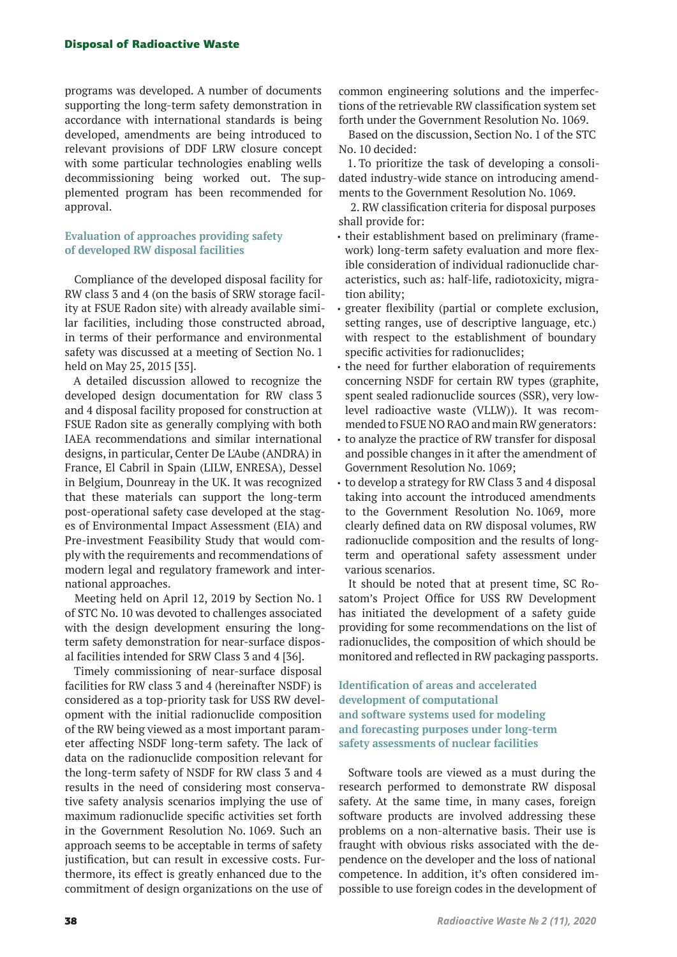programs was developed. A number of documents supporting the long-term safety demonstration in accordance with international standards is being developed, amendments are being introduced to relevant provisions of DDF LRW closure concept with some particular technologies enabling wells decommissioning being worked out. The supplemented program has been recommended for approval.

## **Evaluation of approaches providing safety of developed RW disposal facilities**

Compliance of the developed disposal facility for RW class 3 and 4 (on the basis of SRW storage facility at FSUE Radon site) with already available similar facilities, including those constructed abroad, in terms of their performance and environmental safety was discussed at a meeting of Section No. 1 held on May 25, 2015 [35].

A detailed discussion allowed to recognize the developed design documentation for RW class 3 and 4 disposal facility proposed for construction at FSUE Radon site as generally complying with both IAEA recommendations and similar international designs, in particular, Center De L'Aube (ANDRA) in France, El Cabril in Spain (LILW, ENRESA), Dessel in Belgium, Dounreay in the UK. It was recognized that these materials can support the long-term post-operational safety case developed at the stages of Environmental Impact Assessment (EIA) and Pre-investment Feasibility Study that would comply with the requirements and recommendations of modern legal and regulatory framework and international approaches.

Meeting held on April 12, 2019 by Section No. 1 of STC No. 10 was devoted to challenges associated with the design development ensuring the longterm safety demonstration for near-surface disposal facilities intended for SRW Class 3 and 4 [36].

Timely commissioning of near-surface disposal facilities for RW class 3 and 4 (hereinafter NSDF) is considered as a top-priority task for USS RW development with the initial radionuclide composition of the RW being viewed as a most important parameter affecting NSDF long-term safety. The lack of data on the radionuclide composition relevant for the long-term safety of NSDF for RW class 3 and 4 results in the need of considering most conservative safety analysis scenarios implying the use of maximum radionuclide specific activities set forth in the Government Resolution No. 1069. Such an approach seems to be acceptable in terms of safety justification, but can result in excessive costs. Furthermore, its effect is greatly enhanced due to the commitment of design organizations on the use of common engineering solutions and the imperfections of the retrievable RW classification system set forth under the Government Resolution No. 1069.

Based on the discussion, Section No. 1 of the STC No. 10 decided:

1. To prioritize the task of developing a consolidated industry-wide stance on introducing amendments to the Government Resolution No. 1069.

 2. RW classification criteria for disposal purposes shall provide for:

- their establishment based on preliminary (framework) long-term safety evaluation and more flexible consideration of individual radionuclide characteristics, such as: half-life, radiotoxicity, migration ability;
- greater flexibility (partial or complete exclusion, setting ranges, use of descriptive language, etc.) with respect to the establishment of boundary specific activities for radionuclides;
- the need for further elaboration of requirements concerning NSDF for certain RW types (graphite, spent sealed radionuclide sources (SSR), very lowlevel radioactive waste (VLLW)). It was recommended to FSUE NO RAO and main RW generators:
- to analyze the practice of RW transfer for disposal and possible changes in it after the amendment of Government Resolution No. 1069;
- to develop a strategy for RW Class 3 and 4 disposal taking into account the introduced amendments to the Government Resolution No. 1069, more clearly defined data on RW disposal volumes, RW radionuclide composition and the results of longterm and operational safety assessment under various scenarios.

It should be noted that at present time, SC Rosatom's Project Office for USS RW Development has initiated the development of a safety guide providing for some recommendations on the list of radionuclides, the composition of which should be monitored and reflected in RW packaging passports.

## **Identification of areas and accelerated development of computational and software systems used for modeling and forecasting purposes under long-term safety assessments of nuclear facilities**

Software tools are viewed as a must during the research performed to demonstrate RW disposal safety. At the same time, in many cases, foreign software products are involved addressing these problems on a non-alternative basis. Their use is fraught with obvious risks associated with the dependence on the developer and the loss of national competence. In addition, it's often considered impossible to use foreign codes in the development of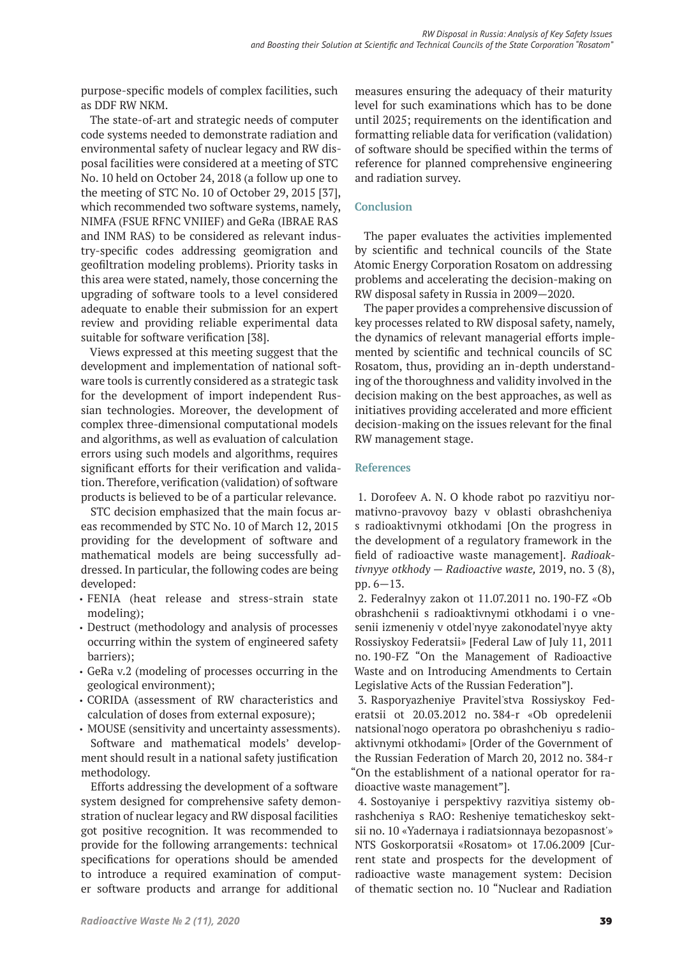purpose-specific models of complex facilities, such as DDF RW NKM.

The state-of-art and strategic needs of computer code systems needed to demonstrate radiation and environmental safety of nuclear legacy and RW disposal facilities were considered at a meeting of STC No. 10 held on October 24, 2018 (a follow up one to the meeting of STC No. 10 of October 29, 2015 [37], which recommended two software systems, namely, NIMFA (FSUE RFNC VNIIEF) and GeRa (IBRAE RAS and INM RAS) to be considered as relevant industry-specific codes addressing geomigration and geofiltration modeling problems). Priority tasks in this area were stated, namely, those concerning the upgrading of software tools to a level considered adequate to enable their submission for an expert review and providing reliable experimental data suitable for software verification [38].

Views expressed at this meeting suggest that the development and implementation of national software tools is currently considered as a strategic task for the development of import independent Russian technologies. Moreover, the development of complex three-dimensional computational models and algorithms, as well as evaluation of calculation errors using such models and algorithms, requires significant efforts for their verification and validation. Therefore, verification (validation) of software products is believed to be of a particular relevance.

STC decision emphasized that the main focus areas recommended by STC No. 10 of March 12, 2015 providing for the development of software and mathematical models are being successfully addressed. In particular, the following codes are being developed:

- FENIA (heat release and stress-strain state modeling);
- Destruct (methodology and analysis of processes occurring within the system of engineered safety barriers);
- GeRa v.2 (modeling of processes occurring in the geological environment);
- CORIDA (assessment of RW characteristics and calculation of doses from external exposure);

• MOUSE (sensitivity and uncertainty assessments). Software and mathematical models' development should result in a national safety justification methodology.

Efforts addressing the development of a software system designed for comprehensive safety demonstration of nuclear legacy and RW disposal facilities got positive recognition. It was recommended to provide for the following arrangements: technical specifications for operations should be amended to introduce a required examination of computer software products and arrange for additional

measures ensuring the adequacy of their maturity level for such examinations which has to be done until 2025; requirements on the identification and formatting reliable data for verification (validation) of software should be specified within the terms of reference for planned comprehensive engineering and radiation survey.

## **Conclusion**

The paper evaluates the activities implemented by scientific and technical councils of the State Atomic Energy Corporation Rosatom on addressing problems and accelerating the decision-making on RW disposal safety in Russia in 2009—2020.

The paper provides a comprehensive discussion of key processes related to RW disposal safety, namely, the dynamics of relevant managerial efforts implemented by scientific and technical councils of SC Rosatom, thus, providing an in-depth understanding of the thoroughness and validity involved in the decision making on the best approaches, as well as initiatives providing accelerated and more efficient decision-making on the issues relevant for the final RW management stage.

### **References**

1. Dorofeev A. N. O khode rabot po razvitiyu normativno-pravovoy bazy v oblasti obrashcheniya s radioaktivnymi otkhodami [On the progress in the development of a regulatory framework in the field of radioactive waste management]. *Radioaktivnyye otkhody — Radioactive waste,* 2019, no. 3 (8), pp. 6—13.

2. Federalnyy zakon ot 11.07.2011 no. 190-FZ «Ob obrashchenii s radioaktivnymi otkhodami i o vnesenii izmeneniy v otdel'nyye zakonodatel'nyye akty Rossiyskoy Federatsii» [Federal Law of July 11, 2011 no. 190-FZ "On the Management of Radioactive Waste and on Introducing Amendments to Certain Legislative Acts of the Russian Federation"].

3. Rasporyazheniye Pravitel'stva Rossiyskoy Federatsii ot 20.03.2012 no. 384-r «Ob opredelenii natsional'nogo operatora po obrashcheniyu s radioaktivnymi otkhodami» [Order of the Government of the Russian Federation of March 20, 2012 no. 384-r "On the establishment of a national operator for radioactive waste management"].

4. Sostoyaniye i perspektivy razvitiya sistemy obrashcheniya s RAO: Resheniye tematicheskoy sektsii no. 10 «Yadernaya i radiatsionnaya bezopasnost'» NTS Goskorporatsii «Rosatom» ot 17.06.2009 [Current state and prospects for the development of radioactive waste management system: Decision of thematic section no. 10 "Nuclear and Radiation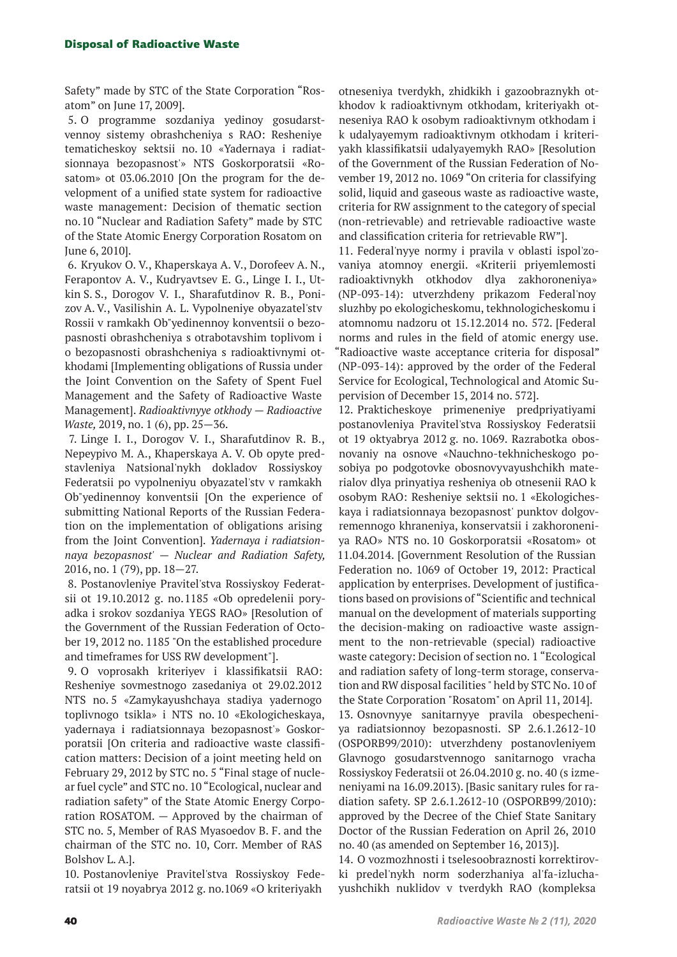Safety" made by STC of the State Corporation "Rosatom" on June 17, 2009].

5. O programme sozdaniya yedinoy gosudarstvennoy sistemy obrashcheniya s RAO: Resheniye tematicheskoy sektsii no. 10 «Yadernaya i radiatsionnaya bezopasnost'» NTS Goskorporatsii «Rosatom» ot 03.06.2010 [On the program for the development of a unified state system for radioactive waste management: Decision of thematic section no. 10 "Nuclear and Radiation Safety" made by STC of the State Atomic Energy Corporation Rosatom on June 6, 2010].

6. Kryukov O. V., Khaperskaya A. V., Dorofeev A. N., Ferapontov A. V., Kudryavtsev E. G., Linge I. I., Utkin S. S., Dorogov V. I., Sharafutdinov R. B., Ponizov A. V., Vasilishin A. L. Vypolneniye obyazatel'stv Rossii v ramkakh Ob"yedinennoy konventsii o bezopasnosti obrashcheniya s otrabotavshim toplivom i o bezopasnosti obrashcheniya s radioaktivnymi otkhodami [Implementing obligations of Russia under the Joint Convention on the Safety of Spent Fuel Management and the Safety of Radioactive Waste Management].*Radioaktivnyye otkhody — Radioactive Waste,* 2019, no. 1 (6), pp. 25—36.

7. Linge I. I., Dorogov V. I., Sharafutdinov R. B., Nepeypivo M. A., Khaperskaya A. V. Ob opyte predstavleniya Natsional'nykh dokladov Rossiyskoy Federatsii po vypolneniyu obyazatel'stv v ramkakh Ob"yedinennoy konventsii [On the experience of submitting National Reports of the Russian Federation on the implementation of obligations arising from the Joint Convention].*Yadernaya i radiatsionnaya bezopasnost' — Nuclear and Radiation Safety,*  2016, no. 1 (79), pp. 18—27.

8. Postanovleniye Pravitel'stva Rossiyskoy Federatsii ot 19.10.2012 g. no. 1185 «Ob opredelenii poryadka i srokov sozdaniya YEGS RAO» [Resolution of the Government of the Russian Federation of October 19, 2012 no. 1185 "On the established procedure and timeframes for USS RW development"].

9. O voprosakh kriteriyev i klassifikatsii RAO: Resheniye sovmestnogo zasedaniya ot 29.02.2012 NTS no. 5 «Zamykayushchaya stadiya yadernogo toplivnogo tsikla» i NTS no. 10 «Ekologicheskaya, yadernaya i radiatsionnaya bezopasnost'» Goskorporatsii [On criteria and radioactive waste classification matters: Decision of a joint meeting held on February 29, 2012 by STC no. 5 "Final stage of nuclear fuel cycle" and STC no. 10 "Ecological, nuclear and radiation safety" of the State Atomic Energy Corporation ROSATOM. — Approved by the chairman of STC no. 5, Member of RAS Myasoedov B. F. and the chairman of the STC no. 10, Corr. Member of RAS Bolshov L. A.].

10. Postanovleniye Pravitel'stva Rossiyskoy Federatsii ot 19 noyabrya 2012 g. no.1069 «O kriteriyakh

otneseniya tverdykh, zhidkikh i gazoobraznykh otkhodov k radioaktivnym otkhodam, kriteriyakh otneseniya RAO k osobym radioaktivnym otkhodam i k udalyayemym radioaktivnym otkhodam i kriteriyakh klassifikatsii udalyayemykh RAO» [Resolution of the Government of the Russian Federation of November 19, 2012 no. 1069 "On criteria for classifying solid, liquid and gaseous waste as radioactive waste, criteria for RW assignment to the category of special (non-retrievable) and retrievable radioactive waste and classification criteria for retrievable RW"].

11. Federal'nyye normy i pravila v oblasti ispol'zovaniya atomnoy energii. «Kriterii priyemlemosti radioaktivnykh otkhodov dlya zakhoroneniya» (NP-093-14): utverzhdeny prikazom Federal'noy sluzhby po ekologicheskomu, tekhnologicheskomu i atomnomu nadzoru ot 15.12.2014 no.  572. [Federal norms and rules in the field of atomic energy use. "Radioactive waste acceptance criteria for disposal" (NP-093-14): approved by the order of the Federal Service for Ecological, Technological and Atomic Supervision of December 15, 2014 no. 572].

12. Prakticheskoye primeneniye predpriyatiyami postanovleniya Pravitel'stva Rossiyskoy Federatsii ot 19 oktyabrya 2012 g. no. 1069. Razrabotka obosnovaniy na osnove «Nauchno-tekhnicheskogo posobiya po podgotovke obosnovyvayushchikh materialov dlya prinyatiya resheniya ob otnesenii RAO k osobym RAO: Resheniye sektsii no. 1 «Ekologicheskaya i radiatsionnaya bezopasnost' punktov dolgovremennogo khraneniya, konservatsii i zakhoroneniya RAO» NTS no. 10 Goskorporatsii «Rosatom» ot 11.04.2014. [Government Resolution of the Russian Federation no. 1069 of October 19, 2012: Practical application by enterprises. Development of justifications based on provisions of "Scientific and technical manual on the development of materials supporting the decision-making on radioactive waste assignment to the non-retrievable (special) radioactive waste category: Decision of section no. 1 "Ecological and radiation safety of long-term storage, conservation and RW disposal facilities " held by STC No. 10 of the State Corporation "Rosatom" on April 11, 2014]. 13. Osnovnyye sanitarnyye pravila obespecheniya radiatsionnoy bezopasnosti. SP 2.6.1.2612-10 (OSPORB99/2010): utverzhdeny postanovleniyem Glavnogo gosudarstvennogo sanitarnogo vracha Rossiyskoy Federatsii ot 26.04.2010 g. no. 40 (s izmeneniyami na 16.09.2013). [Basic sanitary rules for radiation safety. SP 2.6.1.2612-10 (OSPORB99/2010): approved by the Decree of the Chief State Sanitary Doctor of the Russian Federation on April 26, 2010 no. 40 (as amended on September 16, 2013)].

14. O vozmozhnosti i tselesoobraznosti korrektirovki predel'nykh norm soderzhaniya al'fa-izluchayushchikh nuklidov v tverdykh RAO (kompleksa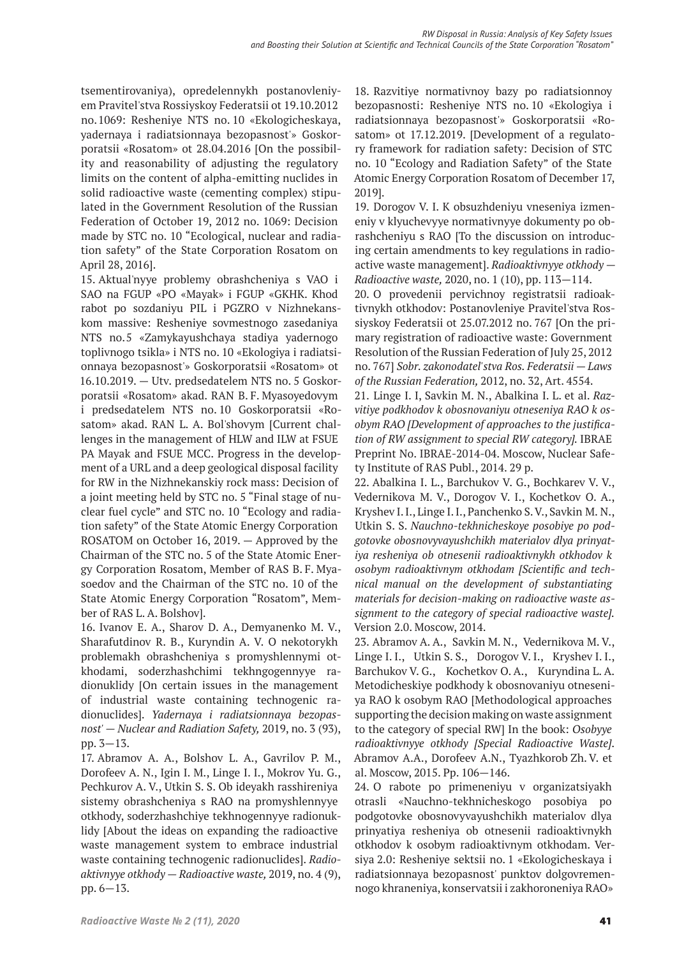tsementirovaniya), opredelennykh postanovleniyem Pravitel'stva Rossiyskoy Federatsii ot 19.10.2012 no. 1069: Resheniye NTS no. 10 «Ekologicheskaya, yadernaya i radiatsionnaya bezopasnost'» Goskorporatsii «Rosatom» ot 28.04.2016 [On the possibility and reasonability of adjusting the regulatory limits on the content of alpha-emitting nuclides in solid radioactive waste (cementing complex) stipulated in the Government Resolution of the Russian Federation of October 19, 2012 no. 1069: Decision made by STC no. 10 "Ecological, nuclear and radiation safety" of the State Corporation Rosatom on April 28, 2016].

15. Aktual'nyye problemy obrashcheniya s VAO i SAO na FGUP «PO «Mayak» i FGUP «GKHK. Khod rabot po sozdaniyu PIL i PGZRO v Nizhnekanskom massive: Resheniye sovmestnogo zasedaniya NTS no. 5 «Zamykayushchaya stadiya yadernogo toplivnogo tsikla» i NTS no. 10 «Ekologiya i radiatsionnaya bezopasnost'» Goskorporatsii «Rosatom» ot 16.10.2019. — Utv. predsedatelem NTS no. 5 Goskorporatsii «Rosatom» akad. RAN B. F. Myasoyedovym i predsedatelem NTS no. 10 Goskorporatsii «Rosatom» akad. RAN L. A. Bol'shovym [Current challenges in the management of HLW and ILW at FSUE PA Mayak and FSUE MCC. Progress in the development of a URL and a deep geological disposal facility for RW in the Nizhnekanskiy rock mass: Decision of a joint meeting held by STC no. 5 "Final stage of nuclear fuel cycle" and STC no. 10 "Ecology and radiation safety" of the State Atomic Energy Corporation ROSATOM on October 16, 2019. — Approved by the Chairman of the STC no. 5 of the State Atomic Energy Corporation Rosatom, Member of RAS B. F. Myasoedov and the Chairman of the STC no. 10 of the State Atomic Energy Corporation "Rosatom", Member of RAS L. A. Bolshov].

16. Ivanov E. A., Sharov D. A., Demyanenko M. V., Sharafutdinov R. B., Kuryndin A. V. O nekotorykh problemakh obrashcheniya s promyshlennymi otkhodami, soderzhashchimi tekhngogennyye radionuklidy [On certain issues in the management of industrial waste containing technogenic radionuclides].*Yadernaya i radiatsionnaya bezopasnost' — Nuclear and Radiation Safety,* 2019, no. 3 (93), pp. 3—13.

17. Abramov A. A., Bolshov L. A., Gavrilov P. M., Dorofeev A. N., Igin I. M., Linge I. I., Mokrov Yu. G., Pechkurov A. V., Utkin S. S. Ob ideyakh rasshireniya sistemy obrashcheniya s RAO na promyshlennyye otkhody, soderzhashchiye tekhnogennyye radionuklidy [About the ideas on expanding the radioactive waste management system to embrace industrial waste containing technogenic radionuclides].*Radioaktivnyye otkhody — Radioactive waste,* 2019, no. 4 (9), pp. 6—13.

18. Razvitiye normativnoy bazy po radiatsionnoy bezopasnosti: Resheniye NTS no. 10 «Ekologiya i radiatsionnaya bezopasnost'» Goskorporatsii «Rosatom» ot 17.12.2019. [Development of a regulatory framework for radiation safety: Decision of STC no. 10 "Ecology and Radiation Safety" of the State Atomic Energy Corporation Rosatom of December 17, 2019].

19. Dorogov V. I. K obsuzhdeniyu vneseniya izmeneniy v klyuchevyye normativnyye dokumenty po obrashcheniyu s RAO [To the discussion on introducing certain amendments to key regulations in radioactive waste management].*Radioaktivnyye otkhody — Radioactive waste,* 2020, no. 1 (10), pp. 113—114.

20. O provedenii pervichnoy registratsii radioaktivnykh otkhodov: Postanovleniye Pravitel'stva Rossiyskoy Federatsii ot 25.07.2012 no. 767 [On the primary registration of radioactive waste: Government Resolution of the Russian Federation of July 25, 2012 no. 767] *Sobr. zakonodatel'stva Ros. Federatsii — Laws of the Russian Federation,* 2012, no. 32, Art. 4554.

21. Linge I. I, Savkin M. N., Abalkina I. L. et al.*Razvitiye podkhodov k obosnovaniyu otneseniya RAO k osobym RAO [Development of approaches to the justification of RW assignment to special RW category].* IBRAE Preprint No. IBRAE-2014-04. Moscow, Nuclear Safety Institute of RAS Publ., 2014. 29 p.

22. Abalkina I. L., Barchukov V. G., Bochkarev V. V., Vedernikova M. V., Dorogov V. I., Kochetkov O. A., Kryshev I. I., Linge I. I., Panchenko S. V., Savkin M. N., Utkin S. S.*Nauchno-tekhnicheskoye posobiye po podgotovke obosnovyvayushchikh materialov dlya prinyatiya resheniya ob otnesenii radioaktivnykh otkhodov k osobym radioaktivnym otkhodam [Scientific and technical manual on the development of substantiating materials for decision-making on radioactive waste assignment to the category of special radioactive waste].* Version 2.0. Moscow, 2014.

23. Abramov A. A., Savkin M. N., Vedernikova M. V., Linge I. I., Utkin S. S., Dorogov V. I., Kryshev I. I., Barchukov V. G., Kochetkov O. A., Kuryndina L. A. Metodicheskiye podkhody k obosnovaniyu otneseniya RAO k osobym RAO [Methodological approaches supporting the decision making on waste assignment to the category of special RW] In the book: *Osobyye radioaktivnyye otkhody [Special Radioactive Waste]*. Abramov A.A., Dorofeev A.N., Tyazhkorob Zh. V. et al. Moscow, 2015. Pp. 106—146.

24. O rabote po primeneniyu v organizatsiyakh otrasli «Nauchno-tekhnicheskogo posobiya po podgotovke obosnovyvayushchikh materialov dlya prinyatiya resheniya ob otnesenii radioaktivnykh otkhodov k osobym radioaktivnym otkhodam. Versiya 2.0: Resheniye sektsii no. 1 «Ekologicheskaya i radiatsionnaya bezopasnost' punktov dolgovremennogo khraneniya, konservatsii i zakhoroneniya RAO»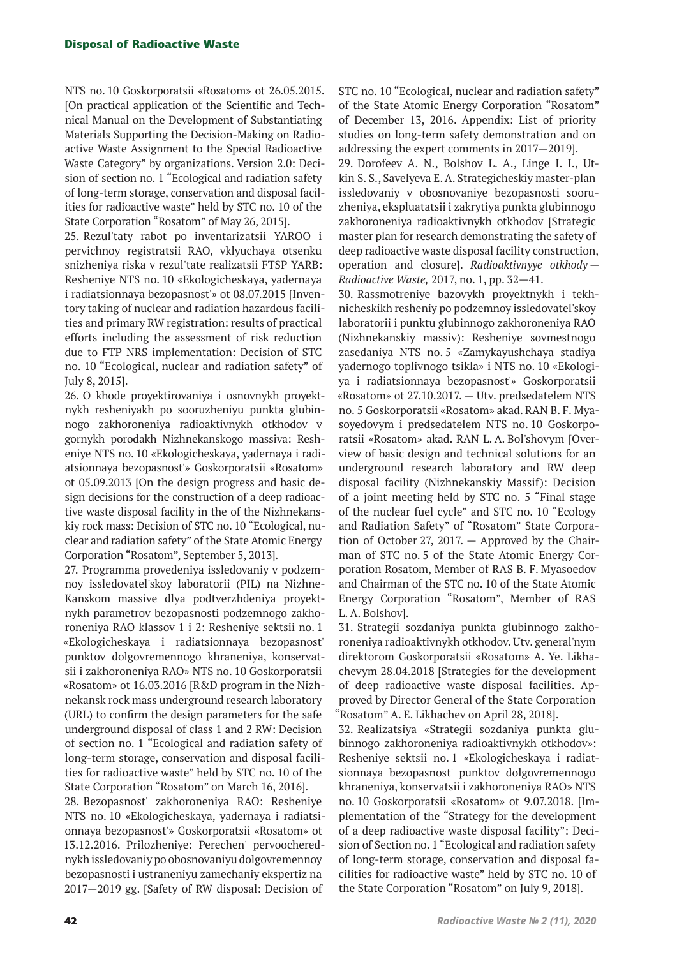NTS no. 10 Goskorporatsii «Rosatom» ot 26.05.2015. [On practical application of the Scientific and Technical Manual on the Development of Substantiating Materials Supporting the Decision-Making on Radioactive Waste Assignment to the Special Radioactive Waste Category" by organizations. Version 2.0: Decision of section no. 1 "Ecological and radiation safety of long-term storage, conservation and disposal facilities for radioactive waste" held by STC no. 10 of the State Corporation "Rosatom" of May 26, 2015].

25. Rezul'taty rabot po inventarizatsii YAROO i pervichnoy registratsii RAO, vklyuchaya otsenku snizheniya riska v rezul'tate realizatsii FTSP YARB: Resheniye NTS no. 10 «Ekologicheskaya, yadernaya i radiatsionnaya bezopasnost'» ot 08.07.2015 [Inventory taking of nuclear and radiation hazardous facilities and primary RW registration: results of practical efforts including the assessment of risk reduction due to FTP NRS implementation: Decision of STC no. 10 "Ecological, nuclear and radiation safety" of July 8, 2015].

26. O khode proyektirovaniya i osnovnykh proyektnykh resheniyakh po sooruzheniyu punkta glubinnogo zakhoroneniya radioaktivnykh otkhodov v gornykh porodakh Nizhnekanskogo massiva: Resheniye NTS no. 10 «Ekologicheskaya, yadernaya i radiatsionnaya bezopasnost'» Goskorporatsii «Rosatom» ot 05.09.2013 [On the design progress and basic design decisions for the construction of a deep radioactive waste disposal facility in the of the Nizhnekanskiy rock mass: Decision of STC no. 10 "Ecological, nuclear and radiation safety" of the State Atomic Energy Corporation "Rosatom", September 5, 2013].

27. Programma provedeniya issledovaniy v podzemnoy issledovatel'skoy laboratorii (PIL) na Nizhne-Kanskom massive dlya podtverzhdeniya proyektnykh parametrov bezopasnosti podzemnogo zakhoroneniya RAO klassov 1 i 2: Resheniye sektsii no. 1 «Ekologicheskaya i radiatsionnaya bezopasnost' punktov dolgovremennogo khraneniya, konservatsii i zakhoroneniya RAO» NTS no. 10 Goskorporatsii «Rosatom» ot 16.03.2016 [R&D program in the Nizhnekansk rock mass underground research laboratory (URL) to confirm the design parameters for the safe underground disposal of class 1 and 2 RW: Decision of section no. 1 "Ecological and radiation safety of long-term storage, conservation and disposal facilities for radioactive waste" held by STC no. 10 of the State Corporation "Rosatom" on March 16, 2016].

28. Bezopasnost' zakhoroneniya RAO: Resheniye NTS no. 10 «Ekologicheskaya, yadernaya i radiatsionnaya bezopasnost'» Goskorporatsii «Rosatom» ot 13.12.2016. Prilozheniye: Perechen' pervoocherednykh issledovaniy po obosnovaniyu dolgovremennoy bezopasnosti i ustraneniyu zamechaniy ekspertiz na 2017—2019 gg. [Safety of RW disposal: Decision of

STC no. 10 "Ecological, nuclear and radiation safety" of the State Atomic Energy Corporation "Rosatom" of December 13, 2016. Appendix: List of priority studies on long-term safety demonstration and on addressing the expert comments in 2017—2019].

29. Dorofeev A. N., Bolshov L. A., Linge I. I., Utkin S. S., Savelyeva E. A. Strategicheskiy master-plan issledovaniy v obosnovaniye bezopasnosti sooruzheniya, ekspluatatsii i zakrytiya punkta glubinnogo zakhoroneniya radioaktivnykh otkhodov [Strategic master plan for research demonstrating the safety of deep radioactive waste disposal facility construction, operation and closure].*Radioaktivnyye otkhody — Radioactive Waste,* 2017, no. 1, pp. 32—41.

30. Rassmotreniye bazovykh proyektnykh i tekhnicheskikh resheniy po podzemnoy issledovatel'skoy laboratorii i punktu glubinnogo zakhoroneniya RAO (Nizhnekanskiy massiv): Resheniye sovmestnogo zasedaniya NTS no. 5 «Zamykayushchaya stadiya yadernogo toplivnogo tsikla» i NTS no. 10 «Ekologiya i radiatsionnaya bezopasnost'» Goskorporatsii «Rosatom» ot 27.10.2017. — Utv. predsedatelem NTS no. 5 Goskorporatsii «Rosatom» akad. RAN B. F. Myasoyedovym i predsedatelem NTS no. 10 Goskorporatsii «Rosatom» akad. RAN L. A. Bol'shovym [Overview of basic design and technical solutions for an underground research laboratory and RW deep disposal facility (Nizhnekanskiy Massif): Decision of a joint meeting held by STC no. 5 "Final stage of the nuclear fuel cycle" and STC no. 10 "Ecology and Radiation Safety" of "Rosatom" State Corporation of October 27, 2017. — Approved by the Chairman of STC no. 5 of the State Atomic Energy Corporation Rosatom, Member of RAS B. F. Myasoedov and Chairman of the STC no. 10 of the State Atomic Energy Corporation "Rosatom", Member of RAS L. A. Bolshov].

31. Strategii sozdaniya punkta glubinnogo zakhoroneniya radioaktivnykh otkhodov. Utv. general'nym direktorom Goskorporatsii «Rosatom» A. Ye. Likhachevym 28.04.2018 [Strategies for the development of deep radioactive waste disposal facilities. Approved by Director General of the State Corporation "Rosatom" A. E. Likhachev on April 28, 2018].

32. Realizatsiya «Strategii sozdaniya punkta glubinnogo zakhoroneniya radioaktivnykh otkhodov»: Resheniye sektsii no. 1 «Ekologicheskaya i radiatsionnaya bezopasnost' punktov dolgovremennogo khraneniya, konservatsii i zakhoroneniya RAO» NTS no. 10 Goskorporatsii «Rosatom» ot 9.07.2018. [Implementation of the "Strategy for the development of a deep radioactive waste disposal facility": Decision of Section no. 1 "Ecological and radiation safety of long-term storage, conservation and disposal facilities for radioactive waste" held by STC no. 10 of the State Corporation "Rosatom" on July 9, 2018].